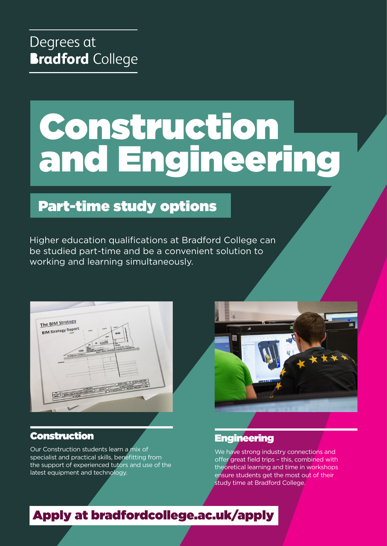# Construction and Engineering

# Part-time study options

Higher education qualifications at Bradford College can be studied part-time and be a convenient solution to working and learning simultaneously.



## Construction

Our Construction students learn a mix of specialist and practical skills, benefitting from the support of experienced tutors and use of the latest equipment and technology.



## **Engineering**

We have strong industry connections and offer great field trips – this, combined with theoretical learning and time in workshops ensure students get the most out of their study time at Bradford College.

# Apply at [bradfordcollege.ac.uk/apply](http://www.bradfordcollege.ac.uk/apply)